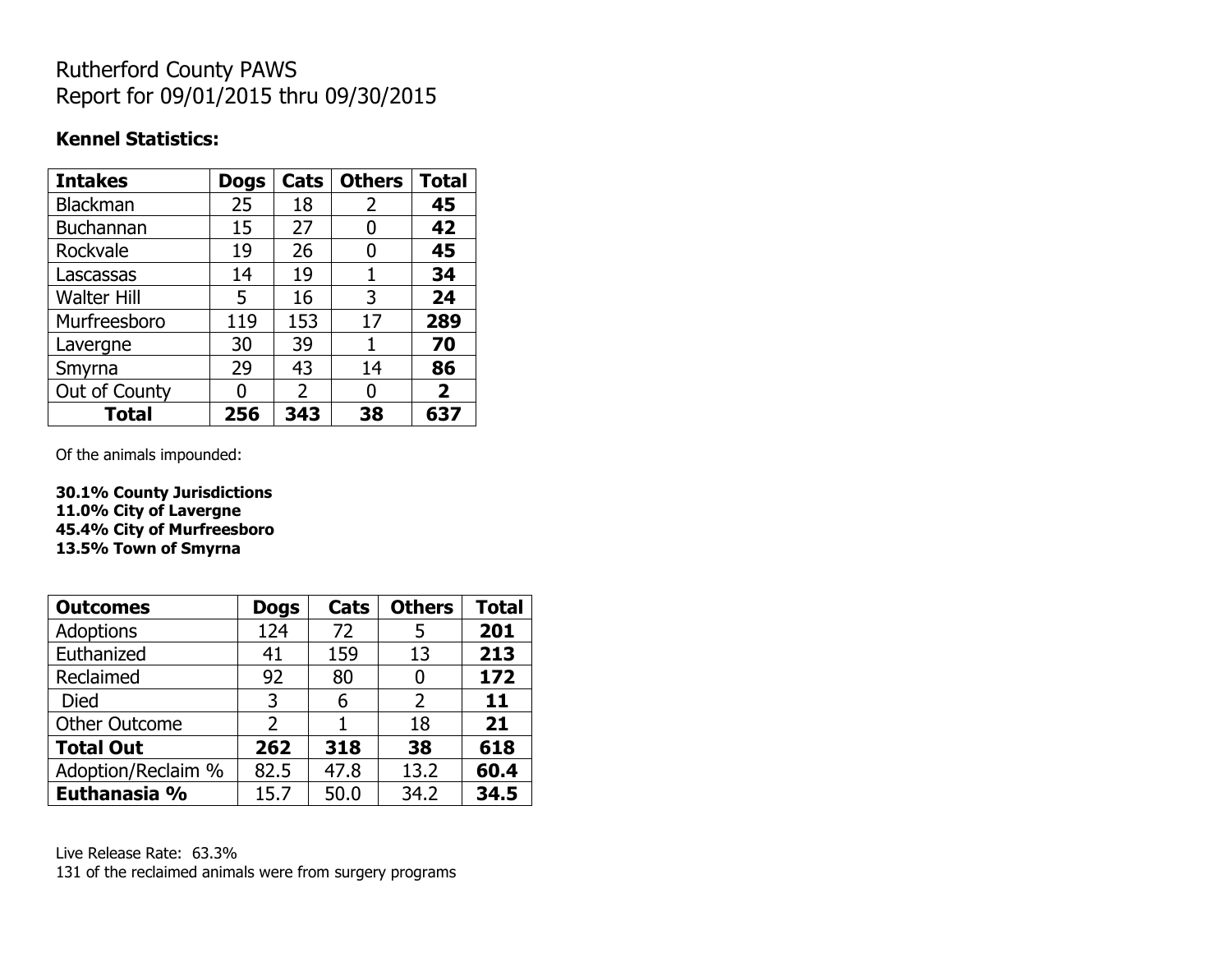# Rutherford County PAWS Report for 09/01/2015 thru 09/30/2015

#### **Kennel Statistics:**

| <b>Intakes</b>     | <b>Dogs</b> | Cats           | <b>Others</b> | <b>Total</b>   |
|--------------------|-------------|----------------|---------------|----------------|
| <b>Blackman</b>    | 25          | 18             | 2             | 45             |
| <b>Buchannan</b>   | 15          | 27             | 0             | 42             |
| Rockvale           | 19          | 26             | 0             | 45             |
| Lascassas          | 14          | 19             | 1             | 34             |
| <b>Walter Hill</b> | 5           | 16             | 3             | 24             |
| Murfreesboro       | 119         | 153            | 17            | 289            |
| Lavergne           | 30          | 39             | 1             | 70             |
| Smyrna             | 29          | 43             | 14            | 86             |
| Out of County      |             | $\overline{2}$ | 0             | $\overline{2}$ |
| <b>Total</b>       | 256         | 343            | 38            | 637            |

Of the animals impounded:

**30.1% County Jurisdictions 11.0% City of Lavergne 45.4% City of Murfreesboro 13.5% Town of Smyrna**

| <b>Outcomes</b>      | <b>Dogs</b> | <b>Cats</b> | <b>Others</b> | <b>Total</b> |
|----------------------|-------------|-------------|---------------|--------------|
| <b>Adoptions</b>     | 124         | 72          | 5             | 201          |
| Euthanized           | 41          | 159         | 13            | 213          |
| Reclaimed            | 92          | 80          | 0             | 172          |
| Died                 | 3           | 6           | 2             | 11           |
| <b>Other Outcome</b> | 2           |             | 18            | 21           |
| <b>Total Out</b>     | 262         | 318         | 38            | 618          |
| Adoption/Reclaim %   | 82.5        | 47.8        | 13.2          | 60.4         |
| Euthanasia %         | 15.7        | 50.0        | 34.2          | 34.5         |

Live Release Rate: 63.3% 131 of the reclaimed animals were from surgery programs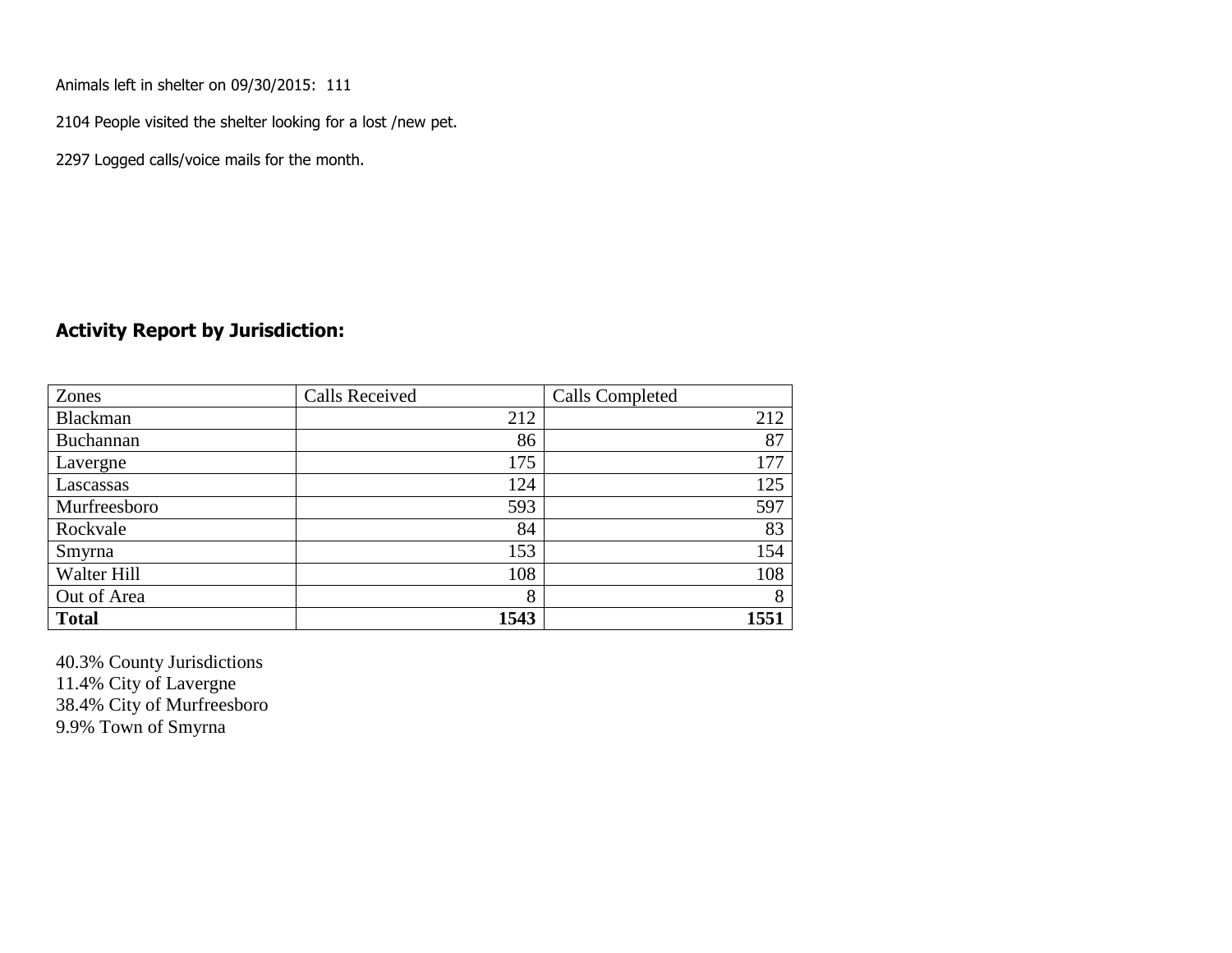Animals left in shelter on 09/30/2015: 111

2104 People visited the shelter looking for a lost /new pet.

2297 Logged calls/voice mails for the month.

#### **Activity Report by Jurisdiction:**

| Zones        | <b>Calls Received</b> | Calls Completed |
|--------------|-----------------------|-----------------|
| Blackman     | 212                   | 212             |
| Buchannan    | 86                    | 87              |
| Lavergne     | 175                   | 177             |
| Lascassas    | 124                   | 125             |
| Murfreesboro | 593                   | 597             |
| Rockvale     | 84                    | 83              |
| Smyrna       | 153                   | 154             |
| Walter Hill  | 108                   | 108             |
| Out of Area  | 8                     | 8               |
| <b>Total</b> | 1543                  | 1551            |

40.3% County Jurisdictions 11.4% City of Lavergne 38.4% City of Murfreesboro 9.9% Town of Smyrna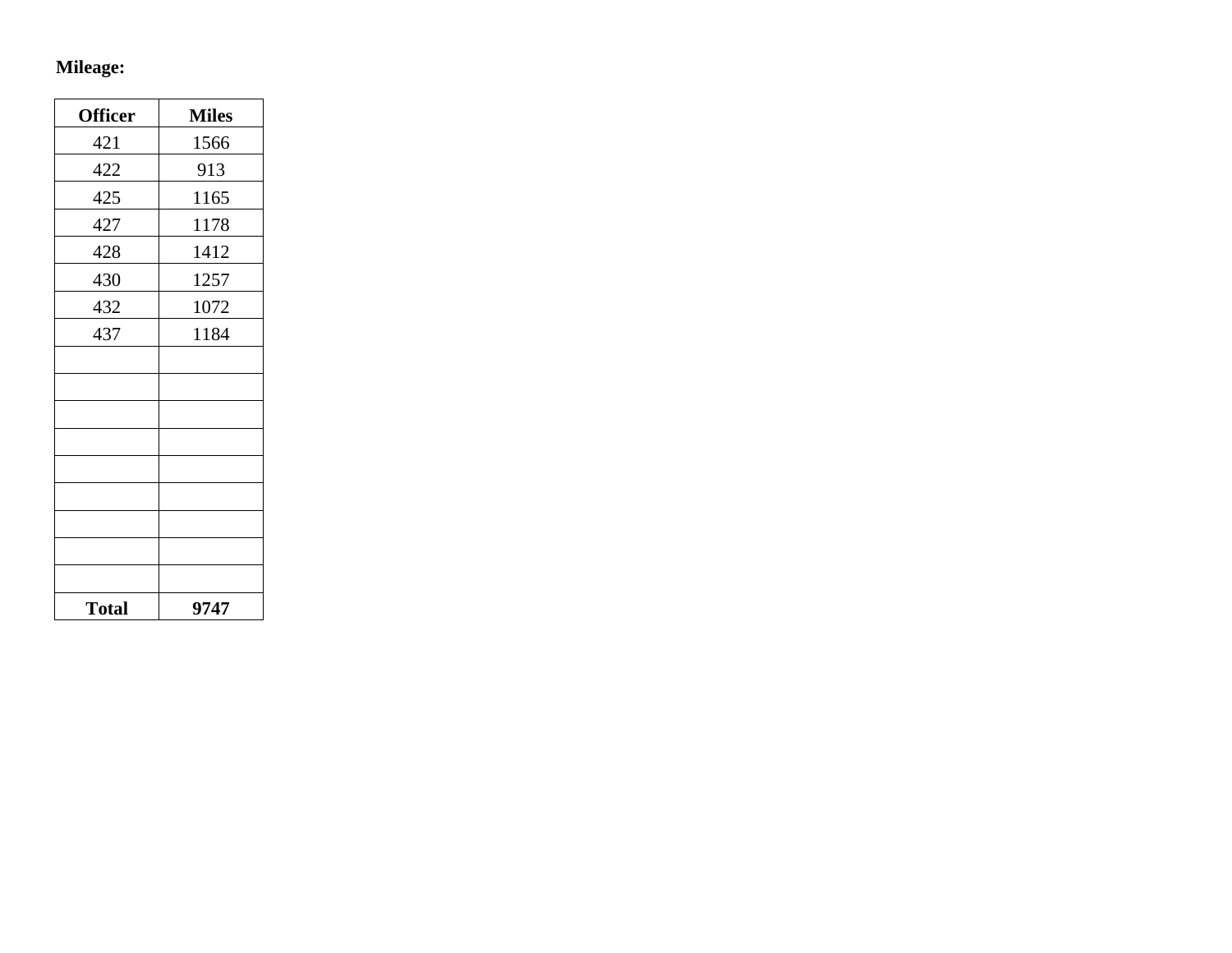# **Mileage:**

| <b>Officer</b> | <b>Miles</b> |
|----------------|--------------|
| 421            | 1566         |
| 422            | 913          |
| 425            | 1165         |
| 427            | 1178         |
| 428            | 1412         |
| 430            | 1257         |
| 432            | 1072         |
| 437            | 1184         |
|                |              |
|                |              |
|                |              |
|                |              |
|                |              |
|                |              |
|                |              |
|                |              |
|                |              |
| <b>Total</b>   | 9747         |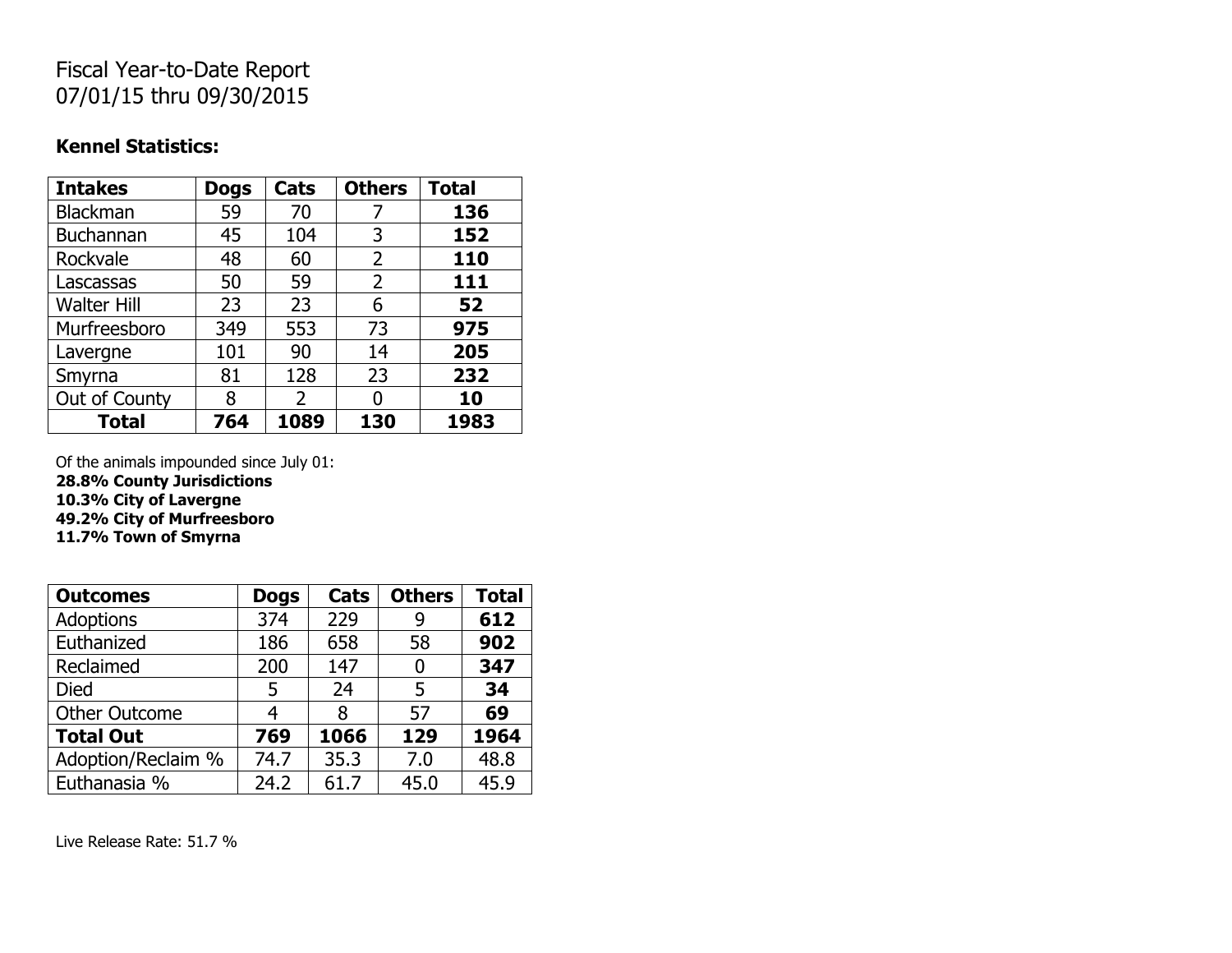# Fiscal Year-to-Date Report 07/01/15 thru 09/30/2015

#### **Kennel Statistics:**

| <b>Intakes</b>     | <b>Dogs</b> | Cats | <b>Others</b>  | <b>Total</b> |
|--------------------|-------------|------|----------------|--------------|
| <b>Blackman</b>    | 59          | 70   |                | 136          |
| Buchannan          | 45          | 104  | 3              | 152          |
| Rockvale           | 48          | 60   | 2              | 110          |
| Lascassas          | 50          | 59   | $\overline{2}$ | 111          |
| <b>Walter Hill</b> | 23          | 23   | 6              | 52           |
| Murfreesboro       | 349         | 553  | 73             | 975          |
| Lavergne           | 101         | 90   | 14             | 205          |
| Smyrna             | 81          | 128  | 23             | 232          |
| Out of County      | 8           | 2    | O              | 10           |
| <b>Total</b>       | 764         | 1089 | 130            | 1983         |

Of the animals impounded since July 01: **28.8% County Jurisdictions 10.3% City of Lavergne 49.2% City of Murfreesboro 11.7% Town of Smyrna**

| <b>Outcomes</b>      | <b>Dogs</b> | Cats | <b>Others</b> | <b>Total</b> |
|----------------------|-------------|------|---------------|--------------|
| <b>Adoptions</b>     | 374         | 229  | 9             | 612          |
| Euthanized           | 186         | 658  | 58            | 902          |
| Reclaimed            | 200         | 147  | 0             | 347          |
| <b>Died</b>          | 5           | 24   | 5             | 34           |
| <b>Other Outcome</b> | 4           | 8    | 57            | 69           |
| <b>Total Out</b>     | 769         | 1066 | 129           | 1964         |
| Adoption/Reclaim %   | 74.7        | 35.3 | 7.0           | 48.8         |
| Euthanasia %         | 24.2        | 61.7 | 45.0          | 45.9         |

Live Release Rate: 51.7 %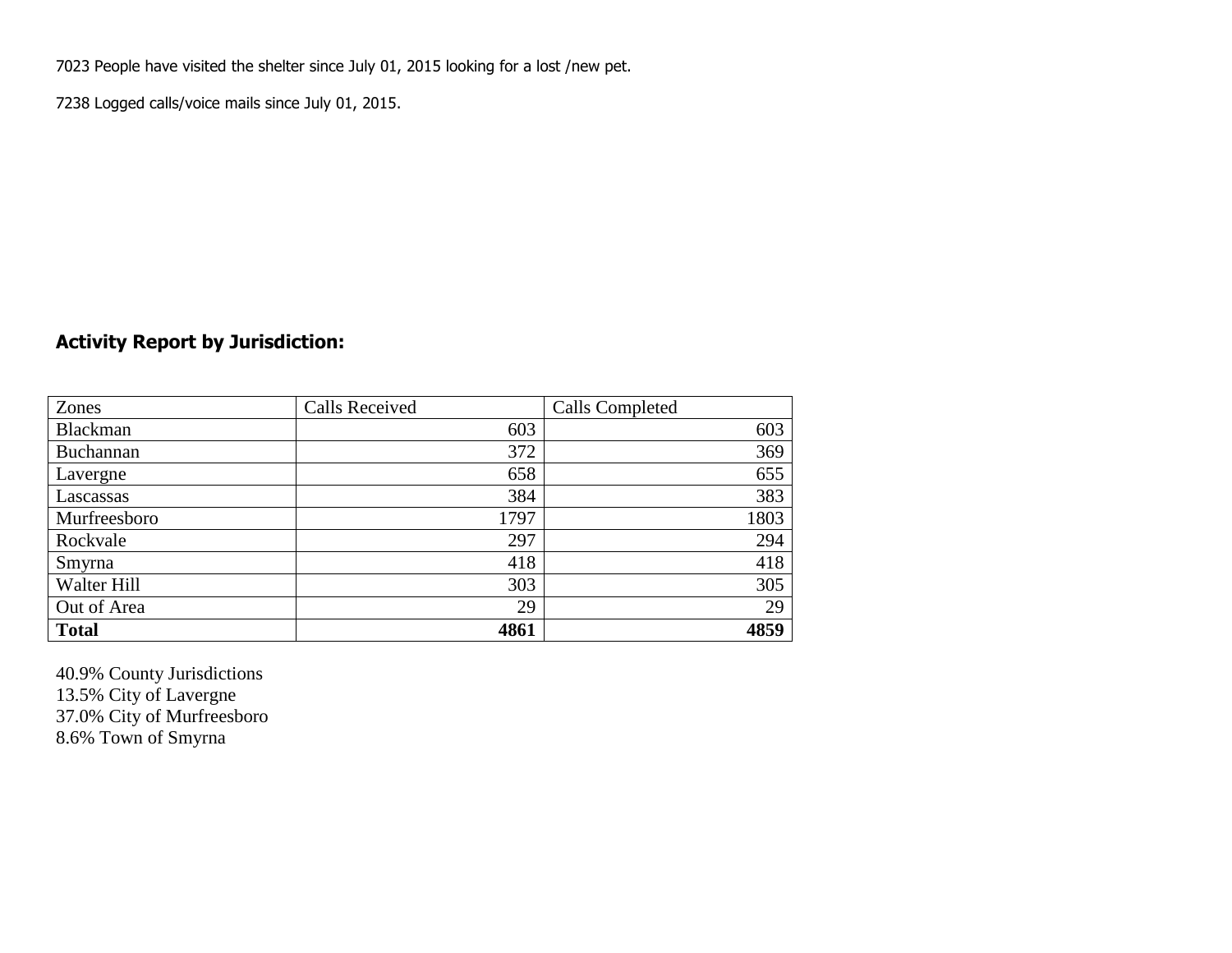7023 People have visited the shelter since July 01, 2015 looking for a lost /new pet.

7238 Logged calls/voice mails since July 01, 2015.

### **Activity Report by Jurisdiction:**

| Zones           | <b>Calls Received</b> | Calls Completed |
|-----------------|-----------------------|-----------------|
| <b>Blackman</b> | 603                   | 603             |
| Buchannan       | 372                   | 369             |
| Lavergne        | 658                   | 655             |
| Lascassas       | 384                   | 383             |
| Murfreesboro    | 1797                  | 1803            |
| Rockvale        | 297                   | 294             |
| Smyrna          | 418                   | 418             |
| Walter Hill     | 303                   | 305             |
| Out of Area     | 29                    | 29              |
| <b>Total</b>    | 4861                  | 4859            |

40.9% County Jurisdictions 13.5% City of Lavergne 37.0% City of Murfreesboro 8.6% Town of Smyrna